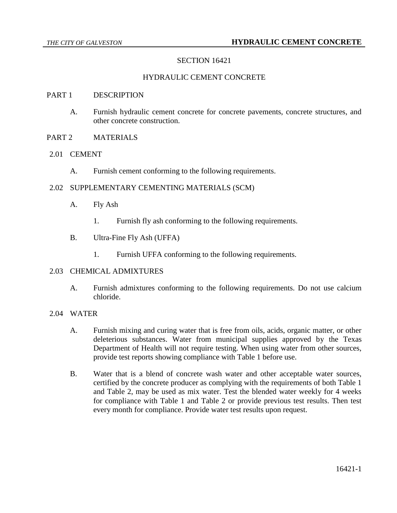# SECTION 16421

### HYDRAULIC CEMENT CONCRETE

#### PART 1 DESCRIPTION

- A. Furnish hydraulic cement concrete for concrete pavements, concrete structures, and other concrete construction.
- PART 2 MATERIALS
- 2.01 CEMENT
	- A. Furnish cement conforming to the following requirements.

### 2.02 SUPPLEMENTARY CEMENTING MATERIALS (SCM)

- A. Fly Ash
	- 1. Furnish fly ash conforming to the following requirements.
- B. Ultra-Fine Fly Ash (UFFA)
	- 1. Furnish UFFA conforming to the following requirements.

#### 2.03 CHEMICAL ADMIXTURES

A. Furnish admixtures conforming to the following requirements. Do not use calcium chloride.

### 2.04 WATER

- A. Furnish mixing and curing water that is free from oils, acids, organic matter, or other deleterious substances. Water from municipal supplies approved by the Texas Department of Health will not require testing. When using water from other sources, provide test reports showing compliance with Table 1 before use.
- B. Water that is a blend of concrete wash water and other acceptable water sources, certified by the concrete producer as complying with the requirements of both Table 1 and Table 2, may be used as mix water. Test the blended water weekly for 4 weeks for compliance with Table 1 and Table 2 or provide previous test results. Then test every month for compliance. Provide water test results upon request.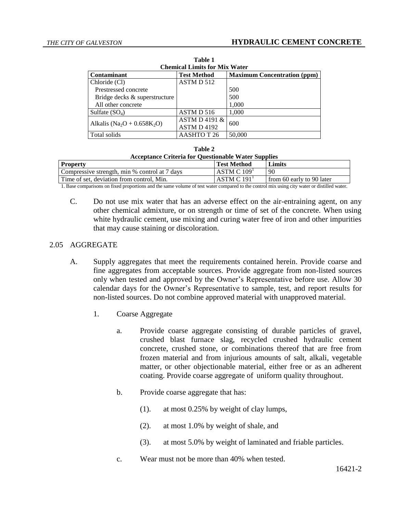| Table 1                                             |                    |                                    |  |  |
|-----------------------------------------------------|--------------------|------------------------------------|--|--|
| <b>Chemical Limits for Mix Water</b>                |                    |                                    |  |  |
| <b>Contaminant</b>                                  | <b>Test Method</b> | <b>Maximum Concentration (ppm)</b> |  |  |
| Chloride (Cl)                                       | ASTM D 512         |                                    |  |  |
| Prestressed concrete                                |                    | 500                                |  |  |
| Bridge decks & superstructure                       |                    | 500                                |  |  |
| All other concrete                                  |                    | 1,000                              |  |  |
| Sulfate $(SO_4)$                                    | ASTM D 516         | 1,000                              |  |  |
| Alkalis (Na <sub>2</sub> O + 0.658K <sub>2</sub> O) | ASTM D 4191 $\&$   | 600                                |  |  |
|                                                     | ASTM D 4192        |                                    |  |  |
| Total solids                                        | AASHTO T 26        | 50,000                             |  |  |

| Table 2                                                    |  |
|------------------------------------------------------------|--|
| <b>Acceptance Criteria for Questionable Water Supplies</b> |  |

| <b>Property</b>                               | <b>Test Method</b>              | Limits                    |
|-----------------------------------------------|---------------------------------|---------------------------|
| Compressive strength, min % control at 7 days | ASTM C 109 <sup>T</sup>         | 90                        |
| Time of set, deviation from control, Min.     | $\cdot$ ASTM C 191 <sup>1</sup> | from 60 early to 90 later |

1. Base comparisons on fixed proportions and the same volume of test water compared to the control mix using city water or distilled water.

C. Do not use mix water that has an adverse effect on the air-entraining agent, on any other chemical admixture, or on strength or time of set of the concrete. When using white hydraulic cement, use mixing and curing water free of iron and other impurities that may cause staining or discoloration.

#### 2.05 AGGREGATE

- A. Supply aggregates that meet the requirements contained herein. Provide coarse and fine aggregates from acceptable sources. Provide aggregate from non-listed sources only when tested and approved by the Owner's Representative before use. Allow 30 calendar days for the Owner's Representative to sample, test, and report results for non-listed sources. Do not combine approved material with unapproved material.
	- 1. Coarse Aggregate
		- a. Provide coarse aggregate consisting of durable particles of gravel, crushed blast furnace slag, recycled crushed hydraulic cement concrete, crushed stone, or combinations thereof that are free from frozen material and from injurious amounts of salt, alkali, vegetable matter, or other objectionable material, either free or as an adherent coating. Provide coarse aggregate of uniform quality throughout.
		- b. Provide coarse aggregate that has:
			- (1). at most 0.25% by weight of clay lumps,
			- (2). at most 1.0% by weight of shale, and
			- (3). at most 5.0% by weight of laminated and friable particles.
		- c. Wear must not be more than 40% when tested.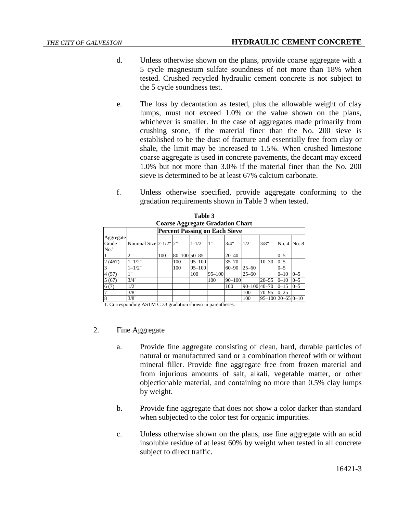- d. Unless otherwise shown on the plans, provide coarse aggregate with a 5 cycle magnesium sulfate soundness of not more than 18% when tested. Crushed recycled hydraulic cement concrete is not subject to the 5 cycle soundness test.
- e. The loss by decantation as tested, plus the allowable weight of clay lumps, must not exceed 1.0% or the value shown on the plans, whichever is smaller. In the case of aggregates made primarily from crushing stone, if the material finer than the No. 200 sieve is established to be the dust of fracture and essentially free from clay or shale, the limit may be increased to 1.5%. When crushed limestone coarse aggregate is used in concrete pavements, the decant may exceed 1.0% but not more than 3.0% if the material finer than the No. 200 sieve is determined to be at least 67% calcium carbonate.
- f. Unless otherwise specified, provide aggregate conforming to the gradation requirements shown in Table 3 when tested.

|                                         | 1 ане э                              |     |                     |            |            |            |              |                        |             |         |
|-----------------------------------------|--------------------------------------|-----|---------------------|------------|------------|------------|--------------|------------------------|-------------|---------|
| <b>Coarse Aggregate Gradation Chart</b> |                                      |     |                     |            |            |            |              |                        |             |         |
|                                         | <b>Percent Passing on Each Sieve</b> |     |                     |            |            |            |              |                        |             |         |
| Aggregate                               |                                      |     |                     |            |            |            |              |                        |             |         |
| Grade                                   | Nominal Size 2-1/2" 2"               |     |                     | $1 - 1/2"$ | 1"         | 3/4"       | 1/2"         | 3/8"                   | No. 4 No. 8 |         |
| No. <sup>1</sup>                        |                                      |     |                     |            |            |            |              |                        |             |         |
|                                         | 2"                                   | 100 | $80 - 100$ 50 $-85$ |            |            | $20 - 40$  |              |                        | $0 - 5$     |         |
| 2(467)                                  | $1 - 1/2"$                           |     | 100                 | $95 - 100$ |            | $35 - 70$  |              | $10 - 30$              | $0 - 5$     |         |
| 3                                       | $1 - 1/2$ "                          |     | 100                 | $95 - 100$ |            | $60 - 90$  | $25 - 60$    |                        | $0 - 5$     |         |
| 4(57)                                   | 1"                                   |     |                     | 100        | $95 - 100$ |            | $25 - 60$    |                        | $0 - 10$    | $0 - 5$ |
| 5(67)                                   | 3/4"                                 |     |                     |            | 100        | $90 - 100$ |              | $20 - 55$              | $0 - 10$    | $0 - 5$ |
| 6(7)                                    | 1/2"                                 |     |                     |            |            | 100        | 90-100 40-70 |                        | $0 - 15$    | $0 - 5$ |
|                                         | 3/8"                                 |     |                     |            |            |            | 100          | $70 - 95$              | $0 - 25$    |         |
| 8                                       | 3/8"                                 |     |                     |            |            |            | 100          | $95 - 100$  20-65 0-10 |             |         |

**Table 3**

1. Corresponding ASTM C 33 gradation shown in parentheses.

- 2. Fine Aggregate
	- a. Provide fine aggregate consisting of clean, hard, durable particles of natural or manufactured sand or a combination thereof with or without mineral filler. Provide fine aggregate free from frozen material and from injurious amounts of salt, alkali, vegetable matter, or other objectionable material, and containing no more than 0.5% clay lumps by weight.
	- b. Provide fine aggregate that does not show a color darker than standard when subjected to the color test for organic impurities.
	- c. Unless otherwise shown on the plans, use fine aggregate with an acid insoluble residue of at least 60% by weight when tested in all concrete subject to direct traffic.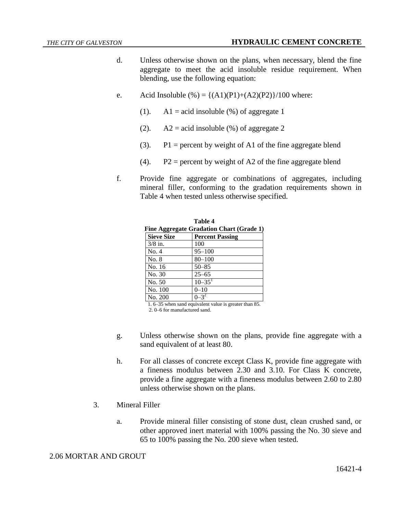- d. Unless otherwise shown on the plans, when necessary, blend the fine aggregate to meet the acid insoluble residue requirement. When blending, use the following equation:
- e. Acid Insoluble  $\left(\% \right) = \left\{ \frac{(A1)(P1)+(A2)(P2)}{100} \right\}$  where:
	- (1).  $\Delta 1 = \text{acid}$  insoluble (%) of aggregate 1
	- (2).  $A2 = \text{acid}$  insoluble (%) of aggregate 2
	- (3).  $P1 =$  percent by weight of A1 of the fine aggregate blend
	- (4).  $P2$  = percent by weight of A2 of the fine aggregate blend
- f. Provide fine aggregate or combinations of aggregates, including mineral filler, conforming to the gradation requirements shown in Table 4 when tested unless otherwise specified.

| Table 4                                  |                        |  |  |  |
|------------------------------------------|------------------------|--|--|--|
| Fine Aggregate Gradation Chart (Grade 1) |                        |  |  |  |
| <b>Sieve Size</b>                        | <b>Percent Passing</b> |  |  |  |
| $3/8$ in.                                | 100                    |  |  |  |
| No. 4                                    | $95 - 100$             |  |  |  |
| No. 8                                    | $80 - 100$             |  |  |  |
| No. 16                                   | $50 - 85$              |  |  |  |
| No. 30                                   | $25 - 65$              |  |  |  |
| No. 50                                   | $10 - 35$ <sup>1</sup> |  |  |  |
| No. 100                                  | $0 - 10$               |  |  |  |
| No. 200                                  |                        |  |  |  |

1. 6–35 when sand equivalent value is greater than 85. 2. 0–6 for manufactured sand.

- g. Unless otherwise shown on the plans, provide fine aggregate with a sand equivalent of at least 80.
- h. For all classes of concrete except Class K, provide fine aggregate with a fineness modulus between 2.30 and 3.10. For Class K concrete, provide a fine aggregate with a fineness modulus between 2.60 to 2.80 unless otherwise shown on the plans.
- 3. Mineral Filler
	- a. Provide mineral filler consisting of stone dust, clean crushed sand, or other approved inert material with 100% passing the No. 30 sieve and 65 to 100% passing the No. 200 sieve when tested.

### 2.06 MORTAR AND GROUT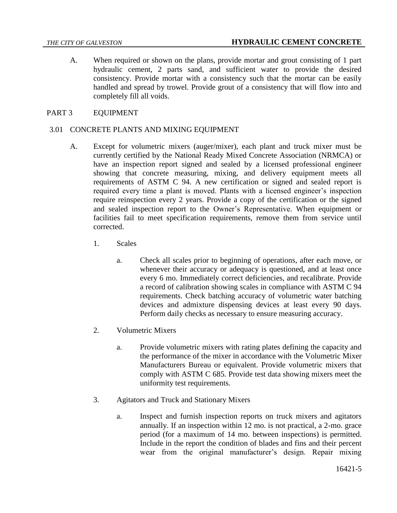A. When required or shown on the plans, provide mortar and grout consisting of 1 part hydraulic cement, 2 parts sand, and sufficient water to provide the desired consistency. Provide mortar with a consistency such that the mortar can be easily handled and spread by trowel. Provide grout of a consistency that will flow into and completely fill all voids.

### PART 3 EQUIPMENT

#### 3.01 CONCRETE PLANTS AND MIXING EQUIPMENT

- A. Except for volumetric mixers (auger/mixer), each plant and truck mixer must be currently certified by the National Ready Mixed Concrete Association (NRMCA) or have an inspection report signed and sealed by a licensed professional engineer showing that concrete measuring, mixing, and delivery equipment meets all requirements of ASTM C 94. A new certification or signed and sealed report is required every time a plant is moved. Plants with a licensed engineer's inspection require reinspection every 2 years. Provide a copy of the certification or the signed and sealed inspection report to the Owner's Representative. When equipment or facilities fail to meet specification requirements, remove them from service until corrected.
	- 1. Scales
		- a. Check all scales prior to beginning of operations, after each move, or whenever their accuracy or adequacy is questioned, and at least once every 6 mo. Immediately correct deficiencies, and recalibrate. Provide a record of calibration showing scales in compliance with ASTM C 94 requirements. Check batching accuracy of volumetric water batching devices and admixture dispensing devices at least every 90 days. Perform daily checks as necessary to ensure measuring accuracy.
	- 2. Volumetric Mixers
		- a. Provide volumetric mixers with rating plates defining the capacity and the performance of the mixer in accordance with the Volumetric Mixer Manufacturers Bureau or equivalent. Provide volumetric mixers that comply with ASTM C 685. Provide test data showing mixers meet the uniformity test requirements.
	- 3. Agitators and Truck and Stationary Mixers
		- a. Inspect and furnish inspection reports on truck mixers and agitators annually. If an inspection within 12 mo. is not practical, a 2-mo. grace period (for a maximum of 14 mo. between inspections) is permitted. Include in the report the condition of blades and fins and their percent wear from the original manufacturer's design. Repair mixing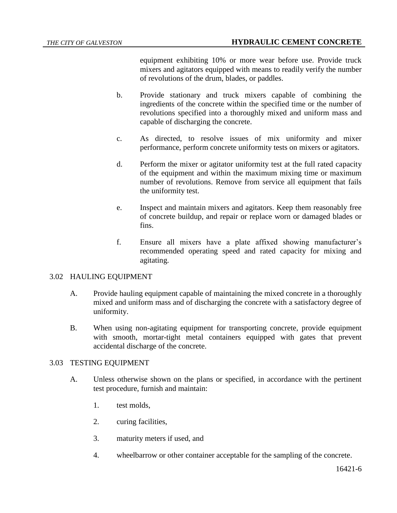equipment exhibiting 10% or more wear before use. Provide truck mixers and agitators equipped with means to readily verify the number of revolutions of the drum, blades, or paddles.

- b. Provide stationary and truck mixers capable of combining the ingredients of the concrete within the specified time or the number of revolutions specified into a thoroughly mixed and uniform mass and capable of discharging the concrete.
- c. As directed, to resolve issues of mix uniformity and mixer performance, perform concrete uniformity tests on mixers or agitators.
- d. Perform the mixer or agitator uniformity test at the full rated capacity of the equipment and within the maximum mixing time or maximum number of revolutions. Remove from service all equipment that fails the uniformity test.
- e. Inspect and maintain mixers and agitators. Keep them reasonably free of concrete buildup, and repair or replace worn or damaged blades or fins.
- f. Ensure all mixers have a plate affixed showing manufacturer's recommended operating speed and rated capacity for mixing and agitating.

# 3.02 HAULING EQUIPMENT

- A. Provide hauling equipment capable of maintaining the mixed concrete in a thoroughly mixed and uniform mass and of discharging the concrete with a satisfactory degree of uniformity.
- B. When using non-agitating equipment for transporting concrete, provide equipment with smooth, mortar-tight metal containers equipped with gates that prevent accidental discharge of the concrete.

# 3.03 TESTING EQUIPMENT

- A. Unless otherwise shown on the plans or specified, in accordance with the pertinent test procedure, furnish and maintain:
	- 1. test molds,
	- 2. curing facilities,
	- 3. maturity meters if used, and
	- 4. wheelbarrow or other container acceptable for the sampling of the concrete.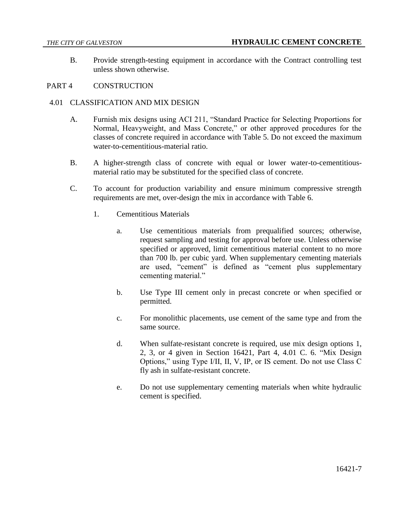B. Provide strength-testing equipment in accordance with the Contract controlling test unless shown otherwise.

# PART 4 CONSTRUCTION

### 4.01 CLASSIFICATION AND MIX DESIGN

- A. Furnish mix designs using ACI 211, "Standard Practice for Selecting Proportions for Normal, Heavyweight, and Mass Concrete," or other approved procedures for the classes of concrete required in accordance with Table 5. Do not exceed the maximum water-to-cementitious-material ratio.
- B. A higher-strength class of concrete with equal or lower water-to-cementitiousmaterial ratio may be substituted for the specified class of concrete.
- C. To account for production variability and ensure minimum compressive strength requirements are met, over-design the mix in accordance with Table 6.
	- 1. Cementitious Materials
		- a. Use cementitious materials from prequalified sources; otherwise, request sampling and testing for approval before use. Unless otherwise specified or approved, limit cementitious material content to no more than 700 lb. per cubic yard. When supplementary cementing materials are used, "cement" is defined as "cement plus supplementary cementing material."
		- b. Use Type III cement only in precast concrete or when specified or permitted.
		- c. For monolithic placements, use cement of the same type and from the same source.
		- d. When sulfate-resistant concrete is required, use mix design options 1, 2, 3, or 4 given in Section 16421, Part 4, 4.01 C. 6. "Mix Design Options," using Type I/II, II, V, IP, or IS cement. Do not use Class C fly ash in sulfate-resistant concrete.
		- e. Do not use supplementary cementing materials when white hydraulic cement is specified.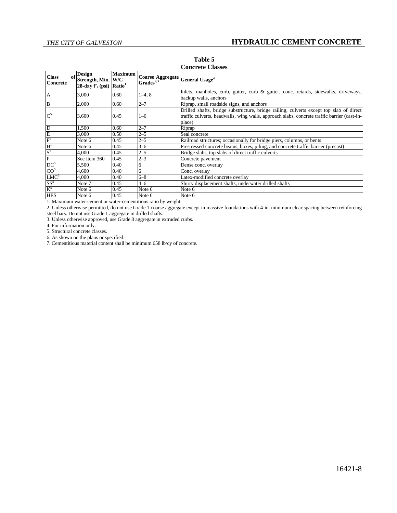| <b>Class</b><br>оf<br>Concrete        | <b>Design</b><br>Strength, Min.<br>$28$ -day $f'_{c}$ (psi) | <b>Maximum</b><br>W/C<br>Ratio <sup>1</sup> | Coarse Aggregate General Usage <sup>4</sup><br>$Grades^{2,3}$                        |                                                                                                                                                                                                  |
|---------------------------------------|-------------------------------------------------------------|---------------------------------------------|--------------------------------------------------------------------------------------|--------------------------------------------------------------------------------------------------------------------------------------------------------------------------------------------------|
| A                                     | 3,000                                                       | 0.60                                        | $1-4, 8$                                                                             | Inlets, manholes, curb, gutter, curb & gutter, conc. retards, sidewalks, driveways,<br>backup walls, anchors                                                                                     |
| <sup>B</sup>                          | 2,000                                                       | 0.60                                        | $2 - 7$                                                                              | Riprap, small roadside signs, and anchors                                                                                                                                                        |
| $C^5$                                 | 3,600                                                       | 0.45                                        | $1 - 6$                                                                              | Drilled shafts, bridge substructure, bridge railing, culverts except top slab of direct<br>traffic culverts, headwalls, wing walls, approach slabs, concrete traffic barrier (cast-in-<br>place) |
| ID                                    | 1.500                                                       | 0.60                                        | $2 - 7$                                                                              | Riprap                                                                                                                                                                                           |
| $\frac{\overline{E}}{\overline{F}^5}$ | 3,000                                                       | 0.50                                        | $2 - 5$                                                                              | Seal concrete                                                                                                                                                                                    |
|                                       | Note 6                                                      | 0.45                                        | $2 - 5$                                                                              | Railroad structures; occasionally for bridge piers, columns, or bents                                                                                                                            |
| $H^5$                                 | Note 6                                                      | 0.45                                        | $3 - 6$                                                                              | Prestressed concrete beams, boxes, piling, and concrete traffic barrier (precast)                                                                                                                |
| $S^5$                                 | 4.000                                                       | 0.45                                        | $2 - 5$                                                                              | Bridge slabs, top slabs of direct traffic culverts                                                                                                                                               |
| P                                     | See Item 360                                                | 0.45                                        | $2 - 3$                                                                              | Concrete pavement                                                                                                                                                                                |
| DC <sup>5</sup>                       | 5,500                                                       | 0.40                                        | 6                                                                                    | Dense conc. overlay                                                                                                                                                                              |
| CO <sup>5</sup>                       | 4,600                                                       | 0.40                                        | 6                                                                                    | Conc. overlay                                                                                                                                                                                    |
| LMC <sup>5</sup>                      | 4,000                                                       | 0.40                                        | $6 - 8$                                                                              | Latex-modified concrete overlay                                                                                                                                                                  |
| $SS^5$                                | Note 7                                                      | 0.45                                        | $4 - 6$                                                                              | Slurry displacement shafts, underwater drilled shafts                                                                                                                                            |
| $\rm K^5$                             | Note 6                                                      | 0.45                                        | Note 6                                                                               | Note 6                                                                                                                                                                                           |
| <b>HES</b>                            | Note 6                                                      | 0.45                                        | Note 6<br>1. Montanano contra reaccat canceles reaccatives and strike the cost-title | Note 6                                                                                                                                                                                           |

**Table 5 Concrete Classes**

1. Maximum water-cement or water-cementitious ratio by weight.

2. Unless otherwise permitted, do not use Grade 1 coarse aggregate except in massive foundations with 4-in. minimum clear spacing between reinforcing steel bars. Do not use Grade 1 aggregate in drilled shafts.

3. Unless otherwise approved, use Grade 8 aggregate in extruded curbs.

4. For information only.

5. Structural concrete classes.

6. As shown on the plans or specified.

7. Cementitious material content shall be minimum 658 lb/cy of concrete.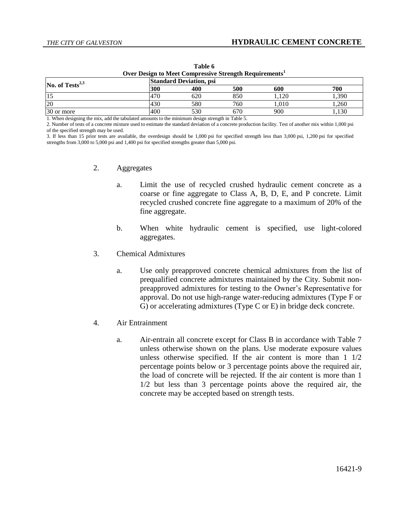| Over Design to Meet Compressive Strength Requirements <sup>1</sup> |     |     |     |      |       |
|--------------------------------------------------------------------|-----|-----|-----|------|-------|
| <b>Standard Deviation, psi</b><br>No. of $Tests^{2,3}$             |     |     |     |      |       |
|                                                                    | 300 | 400 | 500 | 600  | 700   |
|                                                                    | 470 | 620 | 850 | .120 | l.390 |
| 20                                                                 | 430 | 580 | 760 | .010 | .260  |
| 30 or more                                                         | 400 | 530 | 670 | 900  | 1.130 |

**Table 6**

1. When designing the mix, add the tabulated amounts to the minimum design strength in Table 5.

2. Number of tests of a concrete mixture used to estimate the standard deviation of a concrete production facility. Test of another mix within 1,000 psi of the specified strength may be used.

3. If less than 15 prior tests are available, the overdesign should be 1,000 psi for specified strength less than 3,000 psi, 1,200 psi for specified strengths from 3,000 to 5,000 psi and 1,400 psi for specified strengths greater than 5,000 psi.

- 2. Aggregates
	- a. Limit the use of recycled crushed hydraulic cement concrete as a coarse or fine aggregate to Class A, B, D, E, and P concrete. Limit recycled crushed concrete fine aggregate to a maximum of 20% of the fine aggregate.
	- b. When white hydraulic cement is specified, use light-colored aggregates.
- 3. Chemical Admixtures
	- a. Use only preapproved concrete chemical admixtures from the list of prequalified concrete admixtures maintained by the City. Submit nonpreapproved admixtures for testing to the Owner's Representative for approval. Do not use high-range water-reducing admixtures (Type F or G) or accelerating admixtures (Type C or E) in bridge deck concrete.
- 4. Air Entrainment
	- a. Air-entrain all concrete except for Class B in accordance with Table 7 unless otherwise shown on the plans. Use moderate exposure values unless otherwise specified. If the air content is more than 1 1/2 percentage points below or 3 percentage points above the required air, the load of concrete will be rejected. If the air content is more than 1 1/2 but less than 3 percentage points above the required air, the concrete may be accepted based on strength tests.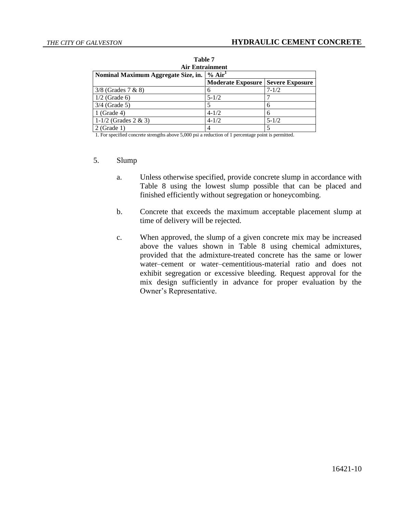| Table 7                                                   |                          |                        |  |  |
|-----------------------------------------------------------|--------------------------|------------------------|--|--|
| <b>Air Entrainment</b>                                    |                          |                        |  |  |
| % Air <sup>1</sup><br>Nominal Maximum Aggregate Size, in. |                          |                        |  |  |
|                                                           | <b>Moderate Exposure</b> | <b>Severe Exposure</b> |  |  |
| $3/8$ (Grades 7 & 8)                                      | 6                        | $7 - 1/2$              |  |  |
| $1/2$ (Grade 6)                                           | $5 - 1/2$                |                        |  |  |
| $3/4$ (Grade 5)                                           |                          | 6                      |  |  |
| $1$ (Grade 4)                                             | $4 - 1/2$                | 6                      |  |  |
| 1-1/2 (Grades $2 \& 3$ )                                  | $4 - 1/2$                | $5 - 1/2$              |  |  |
| $2$ (Grade 1)                                             | 4                        |                        |  |  |

| Table 7                         |  |  |
|---------------------------------|--|--|
| Air Entrainment                 |  |  |
| regate Size, in. $ $ % Air $^1$ |  |  |

1. For specified concrete strengths above 5,000 psi a reduction of 1 percentage point is permitted.

#### 5. Slump

- a. Unless otherwise specified, provide concrete slump in accordance with Table 8 using the lowest slump possible that can be placed and finished efficiently without segregation or honeycombing.
- b. Concrete that exceeds the maximum acceptable placement slump at time of delivery will be rejected.
- c. When approved, the slump of a given concrete mix may be increased above the values shown in Table 8 using chemical admixtures, provided that the admixture-treated concrete has the same or lower water–cement or water–cementitious-material ratio and does not exhibit segregation or excessive bleeding. Request approval for the mix design sufficiently in advance for proper evaluation by the Owner's Representative.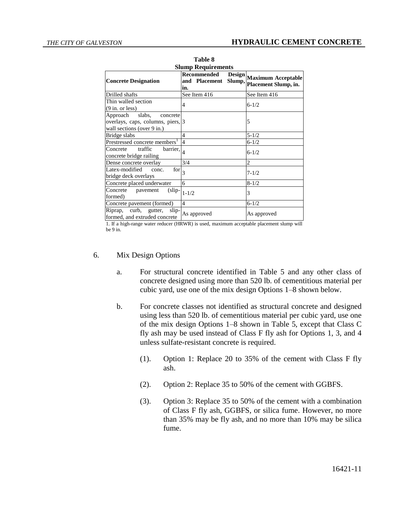| L UNIV V                                                                                                          |                                               |                                                   |  |
|-------------------------------------------------------------------------------------------------------------------|-----------------------------------------------|---------------------------------------------------|--|
| <b>Slump Requirements</b>                                                                                         |                                               |                                                   |  |
| <b>Concrete Designation</b>                                                                                       | Recommended<br>Slump,<br>and Placement<br>in. | Design Maximum Acceptable<br>Placement Slump, in. |  |
| Drilled shafts                                                                                                    | See Item 416                                  | See Item 416                                      |  |
| Thin walled section<br>$(9 \text{ in. or less})$                                                                  | 4                                             | $6 - 1/2$                                         |  |
| Approach<br>slabs,<br>concrete<br>overlays, caps, columns, piers, 3<br>wall sections (over 9 in.)                 |                                               | 5                                                 |  |
| Bridge slabs                                                                                                      | $\overline{\mathcal{L}}$                      | $5 - 1/2$                                         |  |
| Prestressed concrete members <sup>1</sup>                                                                         | $\overline{4}$                                | $6 - 1/2$                                         |  |
| traffic<br>$\overline{\text{barrier},} _4$<br>Concrete<br>concrete bridge railing                                 |                                               | $6 - 1/2$                                         |  |
| Dense concrete overlay                                                                                            | 3/4                                           | 2                                                 |  |
| Latex-modified<br>$\left  \overline{f} \right $ or $\left  \overline{f} \right $<br>conc.<br>bridge deck overlays |                                               | $7 - 1/2$                                         |  |
| Concrete placed underwater                                                                                        | 6                                             | $8 - 1/2$                                         |  |
| Concrete<br>(slip-<br>pavement<br>formed)                                                                         | $1 - 1/2$                                     | 3                                                 |  |
| Concrete pavement (formed)                                                                                        | $\overline{4}$                                | $6 - 1/2$                                         |  |
| Riprap, curb, gutter,<br>slip-<br>formed, and extruded concrete                                                   | As approved                                   | As approved                                       |  |

**Table 8**

1. If a high-range water reducer (HRWR) is used, maximum acceptable placement slump will be 9 in.

#### 6. Mix Design Options

- a. For structural concrete identified in Table 5 and any other class of concrete designed using more than 520 lb. of cementitious material per cubic yard, use one of the mix design Options 1–8 shown below.
- b. For concrete classes not identified as structural concrete and designed using less than 520 lb. of cementitious material per cubic yard, use one of the mix design Options 1–8 shown in Table 5, except that Class C fly ash may be used instead of Class F fly ash for Options 1, 3, and 4 unless sulfate-resistant concrete is required.
	- (1). Option 1: Replace 20 to 35% of the cement with Class F fly ash.
	- (2). Option 2: Replace 35 to 50% of the cement with GGBFS.
	- (3). Option 3: Replace 35 to 50% of the cement with a combination of Class F fly ash, GGBFS, or silica fume. However, no more than 35% may be fly ash, and no more than 10% may be silica fume.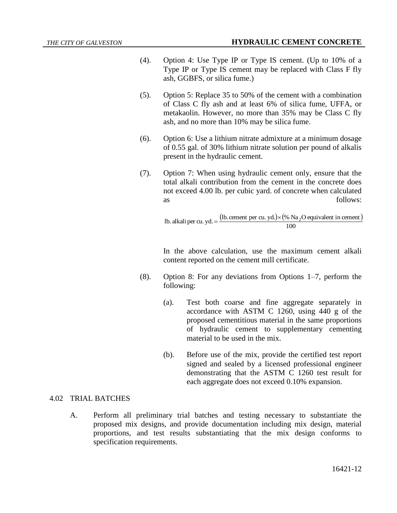- (4). Option 4: Use Type IP or Type IS cement. (Up to 10% of a Type IP or Type IS cement may be replaced with Class F fly ash, GGBFS, or silica fume.)
- (5). Option 5: Replace 35 to 50% of the cement with a combination of Class C fly ash and at least 6% of silica fume, UFFA, or metakaolin. However, no more than 35% may be Class C fly ash, and no more than 10% may be silica fume.
- (6). Option 6: Use a lithium nitrate admixture at a minimum dosage of 0.55 gal. of 30% lithium nitrate solution per pound of alkalis present in the hydraulic cement.
- (7). Option 7: When using hydraulic cement only, ensure that the total alkali contribution from the cement in the concrete does not exceed 4.00 lb. per cubic yard. of concrete when calculated as follows:

(1b. cement per cu. yd.) $\times$  (% Na<sub>2</sub>O equivalent in cement) 1b. alkali per cu. yd. =  $\frac{(\text{lb. cement per cu. yd.}) \times (\% \text{ Na}_2\text{O equivalent in cement}}{100}$ 

In the above calculation, use the maximum cement alkali content reported on the cement mill certificate.

- (8). Option 8: For any deviations from Options 1–7, perform the following:
	- (a). Test both coarse and fine aggregate separately in accordance with ASTM C 1260, using 440 g of the proposed cementitious material in the same proportions of hydraulic cement to supplementary cementing material to be used in the mix.
	- (b). Before use of the mix, provide the certified test report signed and sealed by a licensed professional engineer demonstrating that the ASTM C 1260 test result for each aggregate does not exceed 0.10% expansion.

# 4.02 TRIAL BATCHES

A. Perform all preliminary trial batches and testing necessary to substantiate the proposed mix designs, and provide documentation including mix design, material proportions, and test results substantiating that the mix design conforms to specification requirements.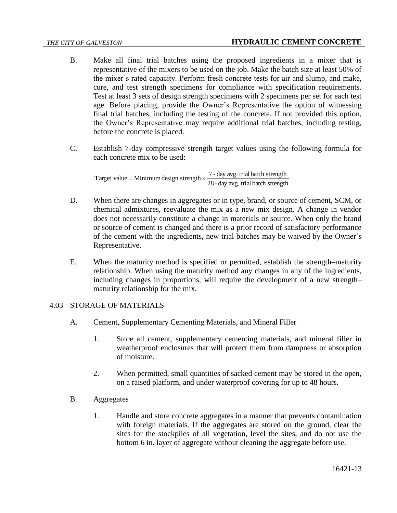- B. Make all final trial batches using the proposed ingredients in a mixer that is representative of the mixers to be used on the job. Make the batch size at least 50% of the mixer's rated capacity. Perform fresh concrete tests for air and slump, and make, cure, and test strength specimens for compliance with specification requirements. Test at least 3 sets of design strength specimens with 2 specimens per set for each test age. Before placing, provide the Owner's Representative the option of witnessing final trial batches, including the testing of the concrete. If not provided this option, the Owner's Representative may require additional trial batches, including testing, before the concrete is placed.
- C. Establish 7-day compressive strength target values using the following formula for each concrete mix to be used:

Target value = Minimum design strength  $\times \frac{7 \text{ - day avg.}}{28 \text{ - day avg. trial batch strength}}$ 

- D. When there are changes in aggregates or in type, brand, or source of cement, SCM, or chemical admixtures, reevaluate the mix as a new mix design. A change in vendor does not necessarily constitute a change in materials or source. When only the brand or source of cement is changed and there is a prior record of satisfactory performance of the cement with the ingredients, new trial batches may be waived by the Owner's Representative.
- E. When the maturity method is specified or permitted, establish the strength–maturity relationship. When using the maturity method any changes in any of the ingredients, including changes in proportions, will require the development of a new strength– maturity relationship for the mix.

# 4.03 STORAGE OF MATERIALS

- A. Cement, Supplementary Cementing Materials, and Mineral Filler
	- 1. Store all cement, supplementary cementing materials, and mineral filler in weatherproof enclosures that will protect them from dampness or absorption of moisture.
	- 2. When permitted, small quantities of sacked cement may be stored in the open, on a raised platform, and under waterproof covering for up to 48 hours.
- B. Aggregates
	- 1. Handle and store concrete aggregates in a manner that prevents contamination with foreign materials. If the aggregates are stored on the ground, clear the sites for the stockpiles of all vegetation, level the sites, and do not use the bottom 6 in. layer of aggregate without cleaning the aggregate before use.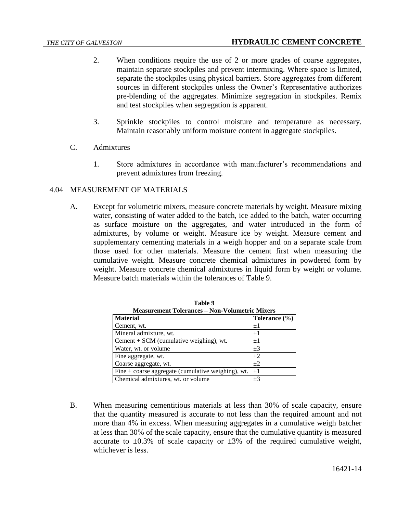- 2. When conditions require the use of 2 or more grades of coarse aggregates, maintain separate stockpiles and prevent intermixing. Where space is limited, separate the stockpiles using physical barriers. Store aggregates from different sources in different stockpiles unless the Owner's Representative authorizes pre-blending of the aggregates. Minimize segregation in stockpiles. Remix and test stockpiles when segregation is apparent.
- 3. Sprinkle stockpiles to control moisture and temperature as necessary. Maintain reasonably uniform moisture content in aggregate stockpiles.
- C. Admixtures
	- 1. Store admixtures in accordance with manufacturer's recommendations and prevent admixtures from freezing.

# 4.04 MEASUREMENT OF MATERIALS

A. Except for volumetric mixers, measure concrete materials by weight. Measure mixing water, consisting of water added to the batch, ice added to the batch, water occurring as surface moisture on the aggregates, and water introduced in the form of admixtures, by volume or weight. Measure ice by weight. Measure cement and supplementary cementing materials in a weigh hopper and on a separate scale from those used for other materials. Measure the cement first when measuring the cumulative weight. Measure concrete chemical admixtures in powdered form by weight. Measure concrete chemical admixtures in liquid form by weight or volume. Measure batch materials within the tolerances of Table 9.

| Measurement Tolerances – Non-Volumetric Mixers       |               |  |  |
|------------------------------------------------------|---------------|--|--|
| <b>Material</b>                                      | Tolerance (%) |  |  |
| Cement, wt.                                          | $+1$          |  |  |
| Mineral admixture, wt.                               | $\pm 1$       |  |  |
| Cement $+$ SCM (cumulative weighing), wt.            | $\pm 1$       |  |  |
| Water, wt. or volume                                 | $\pm 3$       |  |  |
| Fine aggregate, wt.                                  | $+2$          |  |  |
| Coarse aggregate, wt.                                | $+2$          |  |  |
| Fine $+$ coarse aggregate (cumulative weighing), wt. | $\pm 1$       |  |  |
| Chemical admixtures, wt. or volume                   | $+3$          |  |  |

**Table 9 Measurement Tolerances – Non-Volumetric Mixers**

B. When measuring cementitious materials at less than 30% of scale capacity, ensure that the quantity measured is accurate to not less than the required amount and not more than 4% in excess. When measuring aggregates in a cumulative weigh batcher at less than 30% of the scale capacity, ensure that the cumulative quantity is measured accurate to  $\pm 0.3\%$  of scale capacity or  $\pm 3\%$  of the required cumulative weight, whichever is less.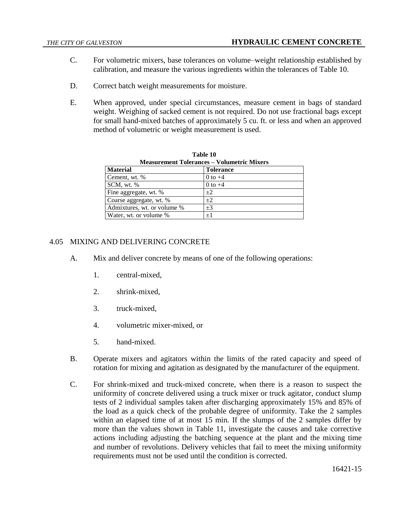- C. For volumetric mixers, base tolerances on volume–weight relationship established by calibration, and measure the various ingredients within the tolerances of Table 10.
- D. Correct batch weight measurements for moisture.
- E. When approved, under special circumstances, measure cement in bags of standard weight. Weighing of sacked cement is not required. Do not use fractional bags except for small hand-mixed batches of approximately 5 cu. ft. or less and when an approved method of volumetric or weight measurement is used.

| Table 10                                          |                  |  |  |
|---------------------------------------------------|------------------|--|--|
| <b>Measurement Tolerances – Volumetric Mixers</b> |                  |  |  |
| <b>Material</b>                                   | <b>Tolerance</b> |  |  |
| Cement, wt. %                                     | 0 to $+4$        |  |  |
| SCM, wt. %                                        | $0$ to $+4$      |  |  |
| Fine aggregate, wt. %                             | $+2$             |  |  |
| Coarse aggregate, wt. %                           | $+2$             |  |  |
| Admixtures, wt. or volume %                       | $+3$             |  |  |
| Water, wt. or volume %                            | $+1$             |  |  |

# 4.05 MIXING AND DELIVERING CONCRETE

- A. Mix and deliver concrete by means of one of the following operations:
	- 1. central-mixed,
	- 2. shrink-mixed,
	- 3. truck-mixed,
	- 4. volumetric mixer-mixed, or
	- 5. hand-mixed.
- B. Operate mixers and agitators within the limits of the rated capacity and speed of rotation for mixing and agitation as designated by the manufacturer of the equipment.
- C. For shrink-mixed and truck-mixed concrete, when there is a reason to suspect the uniformity of concrete delivered using a truck mixer or truck agitator, conduct slump tests of 2 individual samples taken after discharging approximately 15% and 85% of the load as a quick check of the probable degree of uniformity. Take the 2 samples within an elapsed time of at most 15 min. If the slumps of the 2 samples differ by more than the values shown in Table 11, investigate the causes and take corrective actions including adjusting the batching sequence at the plant and the mixing time and number of revolutions. Delivery vehicles that fail to meet the mixing uniformity requirements must not be used until the condition is corrected.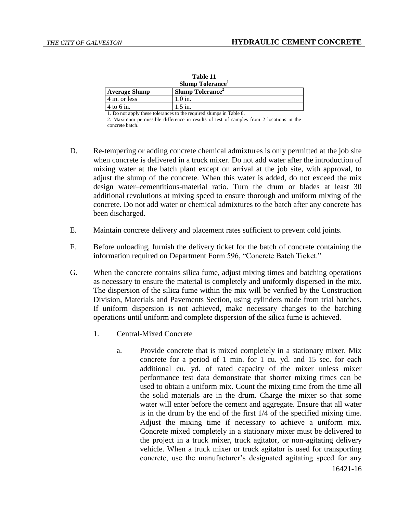| таріе ті<br>Slump Tolerance |                        |
|-----------------------------|------------------------|
| <b>Average Slump</b>        | <b>Slump Tolerance</b> |
| 4 in. or less               | $1.0$ in.              |
| $4$ to 6 in.                | $1.5$ in.              |

**Table 11**

1. Do not apply these tolerances to the required slumps in Table 8.

2. Maximum permissible difference in results of test of samples from 2 locations in the concrete batch.

- D. Re-tempering or adding concrete chemical admixtures is only permitted at the job site when concrete is delivered in a truck mixer. Do not add water after the introduction of mixing water at the batch plant except on arrival at the job site, with approval, to adjust the slump of the concrete. When this water is added, do not exceed the mix design water–cementitious-material ratio. Turn the drum or blades at least 30 additional revolutions at mixing speed to ensure thorough and uniform mixing of the concrete. Do not add water or chemical admixtures to the batch after any concrete has been discharged.
- E. Maintain concrete delivery and placement rates sufficient to prevent cold joints.
- F. Before unloading, furnish the delivery ticket for the batch of concrete containing the information required on Department Form 596, "Concrete Batch Ticket."
- G. When the concrete contains silica fume, adjust mixing times and batching operations as necessary to ensure the material is completely and uniformly dispersed in the mix. The dispersion of the silica fume within the mix will be verified by the Construction Division, Materials and Pavements Section, using cylinders made from trial batches. If uniform dispersion is not achieved, make necessary changes to the batching operations until uniform and complete dispersion of the silica fume is achieved.
	- 1. Central-Mixed Concrete
		- 16421-16 a. Provide concrete that is mixed completely in a stationary mixer. Mix concrete for a period of 1 min. for 1 cu. yd. and 15 sec. for each additional cu. yd. of rated capacity of the mixer unless mixer performance test data demonstrate that shorter mixing times can be used to obtain a uniform mix. Count the mixing time from the time all the solid materials are in the drum. Charge the mixer so that some water will enter before the cement and aggregate. Ensure that all water is in the drum by the end of the first 1/4 of the specified mixing time. Adjust the mixing time if necessary to achieve a uniform mix. Concrete mixed completely in a stationary mixer must be delivered to the project in a truck mixer, truck agitator, or non-agitating delivery vehicle. When a truck mixer or truck agitator is used for transporting concrete, use the manufacturer's designated agitating speed for any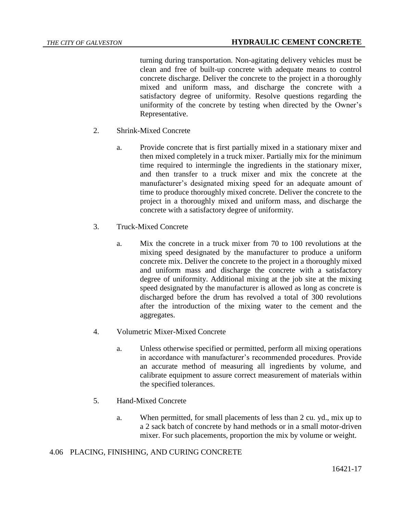turning during transportation. Non-agitating delivery vehicles must be clean and free of built-up concrete with adequate means to control concrete discharge. Deliver the concrete to the project in a thoroughly mixed and uniform mass, and discharge the concrete with a satisfactory degree of uniformity. Resolve questions regarding the uniformity of the concrete by testing when directed by the Owner's Representative.

- 2. Shrink-Mixed Concrete
	- a. Provide concrete that is first partially mixed in a stationary mixer and then mixed completely in a truck mixer. Partially mix for the minimum time required to intermingle the ingredients in the stationary mixer, and then transfer to a truck mixer and mix the concrete at the manufacturer's designated mixing speed for an adequate amount of time to produce thoroughly mixed concrete. Deliver the concrete to the project in a thoroughly mixed and uniform mass, and discharge the concrete with a satisfactory degree of uniformity.
- 3. Truck-Mixed Concrete
	- a. Mix the concrete in a truck mixer from 70 to 100 revolutions at the mixing speed designated by the manufacturer to produce a uniform concrete mix. Deliver the concrete to the project in a thoroughly mixed and uniform mass and discharge the concrete with a satisfactory degree of uniformity. Additional mixing at the job site at the mixing speed designated by the manufacturer is allowed as long as concrete is discharged before the drum has revolved a total of 300 revolutions after the introduction of the mixing water to the cement and the aggregates.
- 4. Volumetric Mixer-Mixed Concrete
	- a. Unless otherwise specified or permitted, perform all mixing operations in accordance with manufacturer's recommended procedures. Provide an accurate method of measuring all ingredients by volume, and calibrate equipment to assure correct measurement of materials within the specified tolerances.
- 5. Hand-Mixed Concrete
	- a. When permitted, for small placements of less than 2 cu. yd., mix up to a 2 sack batch of concrete by hand methods or in a small motor-driven mixer. For such placements, proportion the mix by volume or weight.

# 4.06 PLACING, FINISHING, AND CURING CONCRETE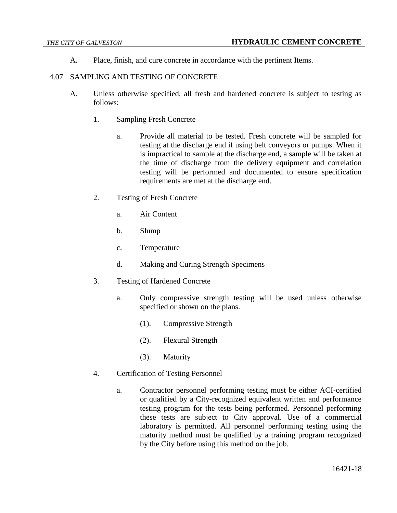A. Place, finish, and cure concrete in accordance with the pertinent Items.

### 4.07 SAMPLING AND TESTING OF CONCRETE

- A. Unless otherwise specified, all fresh and hardened concrete is subject to testing as follows:
	- 1. Sampling Fresh Concrete
		- a. Provide all material to be tested. Fresh concrete will be sampled for testing at the discharge end if using belt conveyors or pumps. When it is impractical to sample at the discharge end, a sample will be taken at the time of discharge from the delivery equipment and correlation testing will be performed and documented to ensure specification requirements are met at the discharge end.
	- 2. Testing of Fresh Concrete
		- a. Air Content
		- b. Slump
		- c. Temperature
		- d. Making and Curing Strength Specimens
	- 3. Testing of Hardened Concrete
		- a. Only compressive strength testing will be used unless otherwise specified or shown on the plans.
			- (1). Compressive Strength
			- (2). Flexural Strength
			- (3). Maturity
	- 4. Certification of Testing Personnel
		- a. Contractor personnel performing testing must be either ACI-certified or qualified by a City-recognized equivalent written and performance testing program for the tests being performed. Personnel performing these tests are subject to City approval. Use of a commercial laboratory is permitted. All personnel performing testing using the maturity method must be qualified by a training program recognized by the City before using this method on the job.